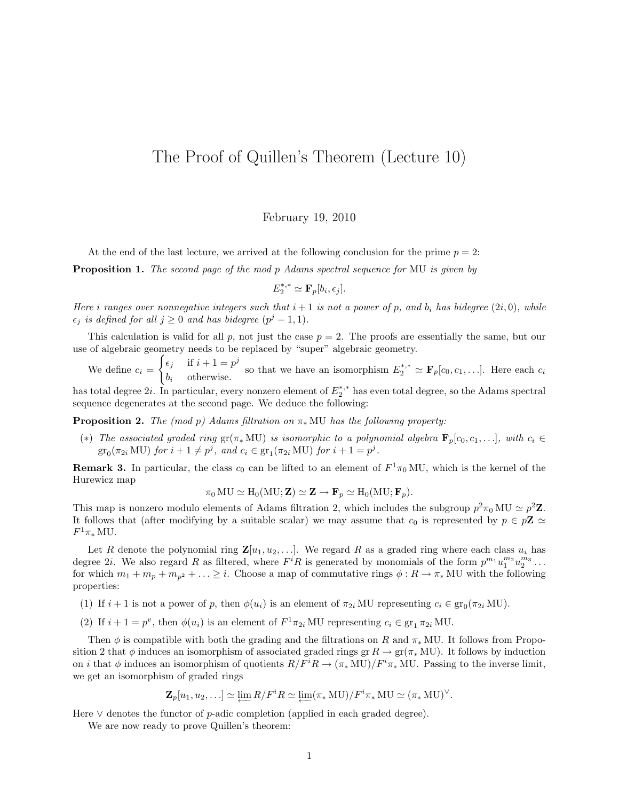## The Proof of Quillen's Theorem (Lecture 10)

## February 19, 2010

At the end of the last lecture, we arrived at the following conclusion for the prime  $p = 2$ :

Proposition 1. The second page of the mod p Adams spectral sequence for MU is given by

$$
E_2^{*,*} \simeq \mathbf{F}_p[b_i, \epsilon_j].
$$

Here i ranges over nonnegative integers such that  $i+1$  is not a power of p, and  $b_i$  has bidegree  $(2i, 0)$ , while  $\epsilon_j$  is defined for all  $j \geq 0$  and has bidegree  $(p^j - 1, 1)$ .

This calculation is valid for all p, not just the case  $p = 2$ . The proofs are essentially the same, but our use of algebraic geometry needs to be replaced by "super" algebraic geometry.

We define  $c_i =$  $\int \epsilon_j$  if  $i + 1 = p^j$  $\epsilon_j$  if  $i+1 \neq p^k$  so that we have an isomorphism  $E_2^{*,*} \simeq \mathbf{F}_p[c_0, c_1, \ldots]$ . Here each  $c_i$  otherwise. has total degree  $2i$ . In particular, every nonzero element of  $E_2^{*,*}$  has even total degree, so the Adams spectral

sequence degenerates at the second page. We deduce the following:

**Proposition 2.** The (mod p) Adams filtration on  $\pi_*$  MU has the following property:

(\*) The associated graded ring  $gr(\pi_* MU)$  is isomorphic to a polynomial algebra  $\mathbf{F}_p[c_0, c_1, \ldots]$ , with  $c_i \in$  $\mathrm{gr}_0(\pi_{2i} \mathrm{MU})$  for  $i+1 \neq p^j$ , and  $c_i \in \mathrm{gr}_1(\pi_{2i} \mathrm{MU})$  for  $i+1 = p^j$ .

**Remark 3.** In particular, the class  $c_0$  can be lifted to an element of  $F^1\pi_0$  MU, which is the kernel of the Hurewicz map

$$
\pi_0 \mathrm{MU} \simeq \mathrm{H}_0(\mathrm{MU}; \mathbf{Z}) \simeq \mathbf{Z} \to \mathbf{F}_p \simeq \mathrm{H}_0(\mathrm{MU}; \mathbf{F}_p).
$$

This map is nonzero modulo elements of Adams filtration 2, which includes the subgroup  $p^2 \pi_0 MU \simeq p^2 \mathbb{Z}$ . It follows that (after modifying by a suitable scalar) we may assume that  $c_0$  is represented by  $p \in p\mathbb{Z} \simeq$  $F^1\pi_*\mathrm{MU}.$ 

Let R denote the polynomial ring  $\mathbf{Z}[u_1, u_2, \ldots]$ . We regard R as a graded ring where each class  $u_i$  has degree 2*i*. We also regard R as filtered, where  $F^{i}R$  is generated by monomials of the form  $p^{m_1}u_1^{m_2}u_2^{m_3}\ldots$ for which  $m_1 + m_p + m_{p^2} + \ldots \geq i$ . Choose a map of commutative rings  $\phi : R \to \pi_*$  MU with the following properties:

- (1) If  $i + 1$  is not a power of p, then  $\phi(u_i)$  is an element of  $\pi_{2i}$  MU representing  $c_i \in \text{gr}_0(\pi_{2i} \text{ MU})$ .
- (2) If  $i + 1 = p^v$ , then  $\phi(u_i)$  is an element of  $F^1 \pi_{2i}$  MU representing  $c_i \in \text{gr}_1 \pi_{2i}$  MU.

Then  $\phi$  is compatible with both the grading and the filtrations on R and  $\pi_*$  MU. It follows from Proposition 2 that  $\phi$  induces an isomorphism of associated graded rings gr  $R \to \text{gr}(\pi_* \text{MU})$ . It follows by induction on i that  $\phi$  induces an isomorphism of quotients  $R/F^iR \to (\pi_*\mathrm{MU})/F^i\pi_*\mathrm{MU}$ . Passing to the inverse limit, we get an isomorphism of graded rings

$$
\mathbf{Z}_p[u_1, u_2, \ldots] \simeq \varprojlim R/F^iR \simeq \varprojlim (\pi_*\mathop{\mathrm{MU}})/F^i\pi_*\mathop{\mathrm{MU}} \simeq (\pi_*\mathop{\mathrm{MU}})^\vee.
$$

Here  $\vee$  denotes the functor of p-adic completion (applied in each graded degree).

We are now ready to prove Quillen's theorem: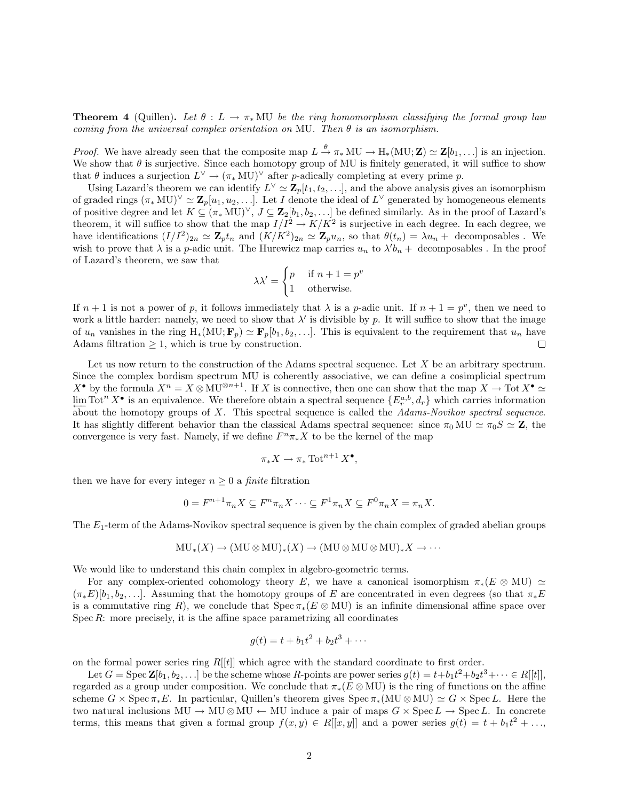**Theorem 4** (Quillen). Let  $\theta : L \to \pi_* MU$  be the ring homomorphism classifying the formal group law coming from the universal complex orientation on MU. Then  $\theta$  is an isomorphism.

*Proof.* We have already seen that the composite map  $L \stackrel{\theta}{\to} \pi_* MU \to H_*(MU; \mathbf{Z}) \simeq \mathbf{Z}[b_1, \dots]$  is an injection. We show that  $\theta$  is surjective. Since each homotopy group of MU is finitely generated, it will suffice to show that  $\theta$  induces a surjection  $L^{\vee} \to (\pi_* \text{MU})^{\vee}$  after *p*-adically completing at every prime *p*.

Using Lazard's theorem we can identify  $L^{\vee} \simeq \mathbb{Z}_p[t_1, t_2, \ldots]$ , and the above analysis gives an isomorphism of graded rings  $(\pi_* MU)^{\vee} \simeq \mathbf{Z}_p[u_1, u_2, \ldots]$ . Let I denote the ideal of  $L^{\vee}$  generated by homogeneous elements of positive degree and let  $K \subseteq (\pi_* MU)^{\vee}, J \subseteq \mathbf{Z}_2[b_1, b_2, \ldots]$  be defined similarly. As in the proof of Lazard's theorem, it will suffice to show that the map  $I/I^2 \to K/K^2$  is surjective in each degree. In each degree, we have identifications  $(I/I^2)_{2n} \simeq \mathbb{Z}_p t_n$  and  $(K/K^2)_{2n} \simeq \mathbb{Z}_p u_n$ , so that  $\theta(t_n) = \lambda u_n +$  decomposables. We wish to prove that  $\lambda$  is a p-adic unit. The Hurewicz map carries  $u_n$  to  $\lambda' b_n +$  decomposables. In the proof of Lazard's theorem, we saw that

$$
\lambda \lambda' = \begin{cases} p & \text{if } n+1 = p^v \\ 1 & \text{otherwise.} \end{cases}
$$

If  $n+1$  is not a power of p, it follows immediately that  $\lambda$  is a p-adic unit. If  $n+1=p^v$ , then we need to work a little harder: namely, we need to show that  $\lambda'$  is divisible by p. It will suffice to show that the image of  $u_n$  vanishes in the ring  $H_*(MU; \mathbf{F}_p) \simeq \mathbf{F}_p[b_1, b_2, \ldots]$ . This is equivalent to the requirement that  $u_n$  have Adams filtration  $\geq 1$ , which is true by construction.  $\Box$ 

Let us now return to the construction of the Adams spectral sequence. Let  $X$  be an arbitrary spectrum. Since the complex bordism spectrum MU is coherently associative, we can define a cosimplicial spectrum  $X^{\bullet}$  by the formula  $X^n = X \otimes MU^{\otimes n+1}$ . If X is connective, then one can show that the map  $X \to \text{Tot } X^{\bullet} \simeq Y$  $\lim_{\Delta} \text{Tot}^n X^{\bullet}$  is an equivalence. We therefore obtain a spectral sequence  $\{E^{a,b}_r, d_r\}$  which carries information about the homotopy groups of X. This spectral sequence is called the Adams-Novikov spectral sequence. It has slightly different behavior than the classical Adams spectral sequence: since  $\pi_0 \text{MU} \simeq \pi_0 S \simeq \mathbb{Z}$ , the convergence is very fast. Namely, if we define  $F^n \pi_* X$  to be the kernel of the map

$$
\pi_* X \to \pi_* \operatorname{Tot}^{n+1} X^{\bullet},
$$

then we have for every integer  $n \geq 0$  a *finite* filtration

$$
0 = F^{n+1}\pi_n X \subseteq F^n \pi_n X \cdots \subseteq F^1 \pi_n X \subseteq F^0 \pi_n X = \pi_n X.
$$

The  $E_1$ -term of the Adams-Novikov spectral sequence is given by the chain complex of graded abelian groups

$$
MU_*(X) \to (MU \otimes MU)_*(X) \to (MU \otimes MU \otimes MU)_*X \to \cdots
$$

We would like to understand this chain complex in algebro-geometric terms.

For any complex-oriented cohomology theory E, we have a canonical isomorphism  $\pi_*(E \otimes MU) \simeq$  $(\pi_*E)[b_1, b_2, \ldots]$ . Assuming that the homotopy groups of E are concentrated in even degrees (so that  $\pi_*E$ is a commutative ring R), we conclude that  $Spec \pi_*(E \otimes MU)$  is an infinite dimensional affine space over Spec  $R$ : more precisely, it is the affine space parametrizing all coordinates

$$
g(t) = t + b_1 t^2 + b_2 t^3 + \cdots
$$

on the formal power series ring  $R[[t]]$  which agree with the standard coordinate to first order.

Let  $G = \text{Spec } \mathbf{Z}[b_1, b_2, \ldots]$  be the scheme whose R-points are power series  $g(t) = t + b_1 t^2 + b_2 t^3 + \cdots \in R[[t]]$ , regarded as a group under composition. We conclude that  $\pi_*(E \otimes \text{MU})$  is the ring of functions on the affine scheme  $G \times \text{Spec } \pi_*E$ . In particular, Quillen's theorem gives  $\text{Spec } \pi_*(MU \otimes MU) \simeq G \times \text{Spec } L$ . Here the two natural inclusions MU  $\rightarrow$  MU  $\otimes$  MU  $\leftarrow$  MU induce a pair of maps  $G \times \operatorname{Spec} L \rightarrow \operatorname{Spec} L$ . In concrete terms, this means that given a formal group  $f(x, y) \in R[[x, y]]$  and a power series  $g(t) = t + b_1 t^2 + ...,$